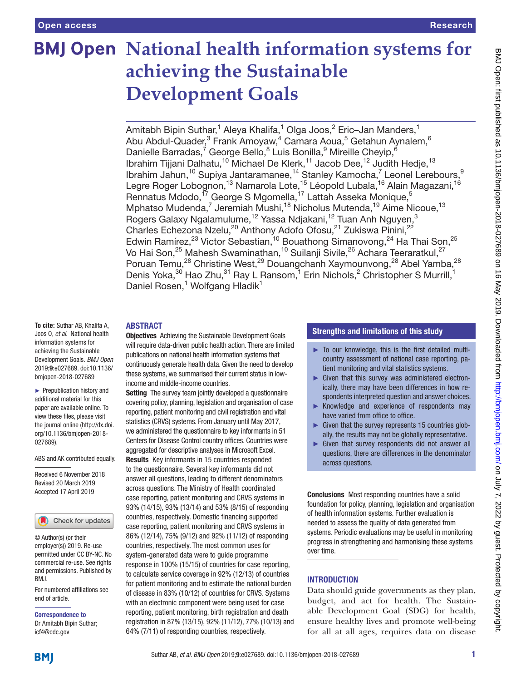# **BMJ Open National health information systems for achieving the Sustainable Development Goals**

Amitabh Bipin Suthar,<sup>1</sup> Aleya Khalifa,<sup>1</sup> Olga Joos,<sup>2</sup> Eric–Jan Manders,<sup>1</sup> Abu Abdul-Quader,<sup>3</sup> Frank Amoyaw,<sup>4</sup> Camara Aoua,<sup>5</sup> Getahun Aynalem,<sup>6</sup> Danielle Barradas,<sup>7</sup> George Bello,<sup>8</sup> Luis Bonilla,<sup>9</sup> Mireille Cheyip,<sup>6</sup> Ibrahim Tijjani Dalhatu,<sup>10</sup> Michael De Klerk,<sup>11</sup> Jacob Dee,<sup>12</sup> Judith Hedje,<sup>13</sup> Ibrahim Jahun,<sup>10</sup> Supiya Jantaramanee,<sup>14</sup> Stanley Kamocha,<sup>7</sup> Leonel Lerebours,<sup>9</sup> Legre Roger Lobognon,<sup>13</sup> Namarola Lote,<sup>15</sup> Léopold Lubala,<sup>16</sup> Alain Magazani,<sup>16</sup> Rennatus Mdodo,<sup>17</sup> George S Mgomella,<sup>17</sup> Lattah Asseka Monique,<sup>5</sup> Mphatso Mudenda,<sup>7</sup> Jeremiah Mushi,<sup>18</sup> Nicholus Mutenda,<sup>19</sup> Aime Nicoue,<sup>13</sup> Rogers Galaxy Ngalamulume,<sup>12</sup> Yassa Ndjakani,<sup>12</sup> Tuan Anh Nguyen,<sup>3</sup> Charles Echezona Nzelu,<sup>20</sup> Anthony Adofo Ofosu,<sup>21</sup> Zukiswa Pinini,<sup>22</sup> Edwin Ramírez,<sup>23</sup> Victor Sebastian,<sup>10</sup> Bouathong Simanovong,<sup>24</sup> Ha Thai Son,<sup>25</sup> Vo Hai Son, $^{25}$  Mahesh Swaminathan, $^{10}$  Suilanji Sivile, $^{26}$  Achara Teeraratkul, $^{27}$ Poruan Temu,<sup>28</sup> Christine West,<sup>29</sup> Douangchanh Xaymounvong,<sup>28</sup> Abel Yamba,<sup>28</sup> Denis Yoka,<sup>30</sup> Hao Zhu,<sup>31</sup> Ray L Ransom,<sup>1</sup> Erin Nichols,<sup>2</sup> Christopher S Murrill,<sup>1</sup> Daniel Rosen,<sup>1</sup> Wolfgang Hladik<sup>1</sup>

#### **ABSTRACT**

**To cite:** Suthar AB, Khalifa A, Joos O, *et al*. National health information systems for achieving the Sustainable Development Goals. *BMJ Open* 2019;9:e027689. doi:10.1136/ bmjopen-2018-027689

► Prepublication history and additional material for this paper are available online. To view these files, please visit the journal online [\(http://dx.doi.](http://dx.doi.org/10.1136/bmjopen-2018-027689) [org/10.1136/bmjopen-2018-](http://dx.doi.org/10.1136/bmjopen-2018-027689) [027689\)](http://dx.doi.org/10.1136/bmjopen-2018-027689).

ABS and AK contributed equally.

Received 6 November 2018 Revised 20 March 2019 Accepted 17 April 2019



© Author(s) (or their employer(s)) 2019. Re-use permitted under CC BY-NC. No commercial re-use. See rights and permissions. Published by BMJ.

For numbered affiliations see end of article.

Correspondence to Dr Amitabh Bipin Suthar; icf4@cdc.gov

#### **Objectives** Achieving the Sustainable Development Goals will require data-driven public health action. There are limited publications on national health information systems that continuously generate health data. Given the need to develop these systems, we summarised their current status in lowincome and middle-income countries.

Setting The survey team jointly developed a questionnaire covering policy, planning, legislation and organisation of case reporting, patient monitoring and civil registration and vital statistics (CRVS) systems. From January until May 2017, we administered the questionnaire to key informants in 51 Centers for Disease Control country offices. Countries were aggregated for descriptive analyses in Microsoft Excel. Results Key informants in 15 countries responded to the questionnaire. Several key informants did not answer all questions, leading to different denominators across questions. The Ministry of Health coordinated case reporting, patient monitoring and CRVS systems in 93% (14/15), 93% (13/14) and 53% (8/15) of responding countries, respectively. Domestic financing supported case reporting, patient monitoring and CRVS systems in 86% (12/14), 75% (9/12) and 92% (11/12) of responding countries, respectively. The most common uses for system-generated data were to guide programme response in 100% (15/15) of countries for case reporting, to calculate service coverage in 92% (12/13) of countries for patient monitoring and to estimate the national burden of disease in 83% (10/12) of countries for CRVS. Systems with an electronic component were being used for case reporting, patient monitoring, birth registration and death registration in 87% (13/15), 92% (11/12), 77% (10/13) and 64% (7/11) of responding countries, respectively.

#### Strengths and limitations of this study

- $\triangleright$  To our knowledge, this is the first detailed multicountry assessment of national case reporting, patient monitoring and vital statistics systems.
- ► Given that this survey was administered electronically, there may have been differences in how respondents interpreted question and answer choices.
- ► Knowledge and experience of respondents may have varied from office to office.
- ► Given that the survey represents 15 countries globally, the results may not be globally representative.
- ► Given that survey respondents did not answer all questions, there are differences in the denominator across questions.

Conclusions Most responding countries have a solid foundation for policy, planning, legislation and organisation of health information systems. Further evaluation is needed to assess the quality of data generated from systems. Periodic evaluations may be useful in monitoring progress in strengthening and harmonising these systems over time.

## **INTRODUCTION**

Data should guide governments as they plan, budget, and act for health. The Sustainable Development Goal (SDG) for health, ensure healthy lives and promote well-being for all at all ages, requires data on disease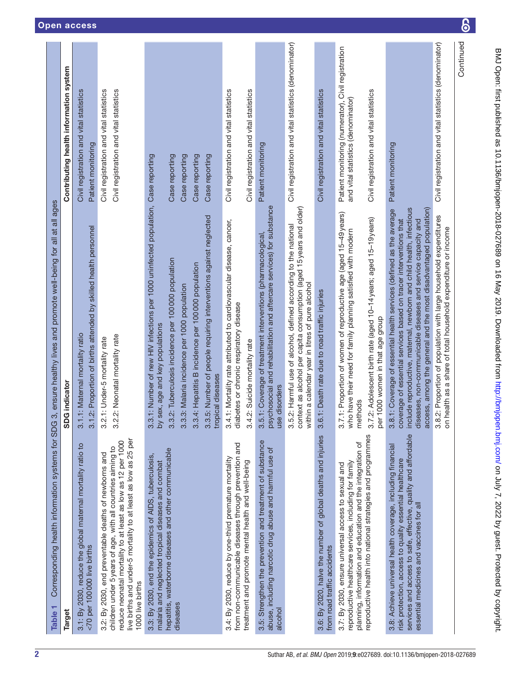<span id="page-1-0"></span>

| Corresponding health information systems for SDG<br>Table <sub>1</sub>                                                                                                                                                                                                   | 3, ensure healthy lives and promote well-being for all at all ages                                                                                                                                                                                                                                                                                    |                                                                                          |
|--------------------------------------------------------------------------------------------------------------------------------------------------------------------------------------------------------------------------------------------------------------------------|-------------------------------------------------------------------------------------------------------------------------------------------------------------------------------------------------------------------------------------------------------------------------------------------------------------------------------------------------------|------------------------------------------------------------------------------------------|
| <b>Target</b>                                                                                                                                                                                                                                                            | SDG indicator                                                                                                                                                                                                                                                                                                                                         | Contributing health information system                                                   |
| 3.1: By 2030, reduce the global maternal mortality ratio to<br><70 per 100000 live births                                                                                                                                                                                | 3.1.2: Proportion of births attended by skilled health personnel<br>3.1.1: Maternal mortality ratio                                                                                                                                                                                                                                                   | Civil registration and vital statistics<br>Patient monitoring                            |
| live births and under-5 mortality to at least as low as 25 per<br>reduce neonatal mortality to at least as low as 12 per 1000<br>children under 5 years of age, with all countries aiming to<br>3.2: By 2030, end preventable deaths of newborns and<br>1000 live births | 3.2.2: Neonatal mortality rate<br>3.2.1: Under-5 mortality rate                                                                                                                                                                                                                                                                                       | Civil registration and vital statistics<br>Civil registration and vital statistics       |
| hepatitis, waterborne diseases and other communicable<br>3.3: By 2030, end the epidemics of AIDS, tuberculosis,<br>malaria and neglected tropical diseases and combat<br>diseases                                                                                        | 3.3.1: Number of new HIV infections per 1000 uninfected population, Case reporting<br>3.3.2: Tuberculosis incidence per 100 000 population<br>sex, age and key populations<br>by                                                                                                                                                                      | Case reporting                                                                           |
|                                                                                                                                                                                                                                                                          | .3: Malaria incidence per 1000 population<br>3.3                                                                                                                                                                                                                                                                                                      | Case reporting                                                                           |
|                                                                                                                                                                                                                                                                          | 3.3.5: Number of people requiring interventions against neglected<br>3.3.4: Hepatitis B incidence per 100 000 population<br>tropical diseases                                                                                                                                                                                                         | Case reporting<br>Case reporting                                                         |
| from non-communicable diseases through prevention and<br>3.4: By 2030, reduce by one-third premature mortality                                                                                                                                                           | 3.4.1: Mortality rate attributed to cardiovascular disease, cancer,<br>diabetes or chronic respiratory disease                                                                                                                                                                                                                                        | Civil registration and vital statistics                                                  |
| treatment and promote mental health and well-being                                                                                                                                                                                                                       | 3.4.2: Suicide mortality rate                                                                                                                                                                                                                                                                                                                         | Civil registration and vital statistics                                                  |
| 3.5: Strengthen the prevention and treatment of substance<br>abuse, including narcotic drug abuse and harmful use of<br>alcohol                                                                                                                                          | psychosocial and rehabilitation and aftercare services) for substance<br>3.5.1: Coverage of treatment interventions (pharmacological<br>use disorders                                                                                                                                                                                                 | Patient monitoring                                                                       |
|                                                                                                                                                                                                                                                                          | context as alcohol per capita consumption (aged 15 years and older)<br>.2: Harmful use of alcohol, defined according to the national<br>within a calendar year in litres of pure alcohol<br>3.5                                                                                                                                                       | Civil registration and vital statistics (denominator)                                    |
| 3.6: By 2020, halve the number of global deaths and injuries<br>from road traffic accidents                                                                                                                                                                              | 3.6.1: Death rate due to road traffic injuries                                                                                                                                                                                                                                                                                                        | Civil registration and vital statistics                                                  |
| planning, information and education and the integration of<br>reproductive healthcare services, including for family<br>3.7: By 2030, ensure universal access to sexual and                                                                                              | 3.7.1: Proportion of women of reproductive age (aged 15-49 years)<br>who have their need for family planning satisfied with modern<br>methods                                                                                                                                                                                                         | Patient monitoring (numerator), Civil registration<br>and vital statistics (denominator) |
| reproductive health into national strategies and programmes                                                                                                                                                                                                              | '.2: Adolescent birth rate (aged 10-14 years; aged 15-19 years)<br>per 1000 women in that age group<br>3.7                                                                                                                                                                                                                                            | Civil registration and vital statistics                                                  |
| services and access to safe, effective, quality and affordable<br>3.8: Achieve universal health coverage, including financial<br>risk protection, access to quality essential healthcare<br>essential medicines and vaccines for all                                     | include reproductive, maternal, newborn and child health, infectious<br>access, among the general and the most disadvantaged population)<br>3.8.1: Coverage of essential health services (defined as the average<br>coverage of essential services based on tracer interventions that<br>diseases, non-communicable diseases and service capacity and | Patient monitoring                                                                       |
|                                                                                                                                                                                                                                                                          | 2: Proportion of population with large household expenditures<br>on health as a share of total household expenditure or income<br>3.8                                                                                                                                                                                                                 | Civil registration and vital statistics (denominator)                                    |
|                                                                                                                                                                                                                                                                          |                                                                                                                                                                                                                                                                                                                                                       | Continued                                                                                |

 $\overline{\mathbf{6}}$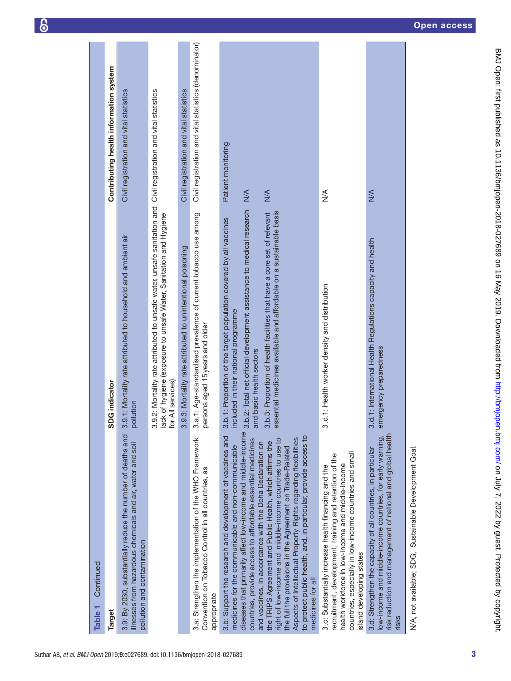| Continued<br>Table 1                                                                                                                                                                                                                                                                                                                                                                                                                                                                                                                                                                                                                                                                                                                                                                                                                                                                                                                                                                                                                                                                                                            |                                                                                                                                                                                                                                                                                                                                                                                                                                                                                                            |                                                               |
|---------------------------------------------------------------------------------------------------------------------------------------------------------------------------------------------------------------------------------------------------------------------------------------------------------------------------------------------------------------------------------------------------------------------------------------------------------------------------------------------------------------------------------------------------------------------------------------------------------------------------------------------------------------------------------------------------------------------------------------------------------------------------------------------------------------------------------------------------------------------------------------------------------------------------------------------------------------------------------------------------------------------------------------------------------------------------------------------------------------------------------|------------------------------------------------------------------------------------------------------------------------------------------------------------------------------------------------------------------------------------------------------------------------------------------------------------------------------------------------------------------------------------------------------------------------------------------------------------------------------------------------------------|---------------------------------------------------------------|
| <b>Target</b>                                                                                                                                                                                                                                                                                                                                                                                                                                                                                                                                                                                                                                                                                                                                                                                                                                                                                                                                                                                                                                                                                                                   | <b>G</b> indicator<br>ဓ္တ                                                                                                                                                                                                                                                                                                                                                                                                                                                                                  | Contributing health information system                        |
| 3.9: By 2030, substantially reduce the number of deaths and<br>illnesses from hazardous chemicals and air, water and soil<br>pollution and contamination                                                                                                                                                                                                                                                                                                                                                                                                                                                                                                                                                                                                                                                                                                                                                                                                                                                                                                                                                                        | 1.1: Mortality rate attributed to household and ambient air<br>pollution<br><u>ვ.</u>                                                                                                                                                                                                                                                                                                                                                                                                                      | Civil registration and vital statistics                       |
|                                                                                                                                                                                                                                                                                                                                                                                                                                                                                                                                                                                                                                                                                                                                                                                                                                                                                                                                                                                                                                                                                                                                 | .2: Mortality rate attributed to unsafe water, unsafe sanitation and Civil registration and vital statistics<br>lack of hygiene (exposure to unsafe Water, Sanitation and Hygiene<br>All services)<br>3.9<br>ð                                                                                                                                                                                                                                                                                             |                                                               |
|                                                                                                                                                                                                                                                                                                                                                                                                                                                                                                                                                                                                                                                                                                                                                                                                                                                                                                                                                                                                                                                                                                                                 | 1.3: Mortality rate attributed to unintentional poisoning<br>3.9                                                                                                                                                                                                                                                                                                                                                                                                                                           | Civil registration and vital statistics                       |
| 3.a: Strengthen the implementation of the WHO Framework<br>Convention on Tobacco Control in all countries, as<br>appropriate                                                                                                                                                                                                                                                                                                                                                                                                                                                                                                                                                                                                                                                                                                                                                                                                                                                                                                                                                                                                    | 3.a.1: Age-standardised prevalence of current tobacco use among<br>persons aged 15 years and older                                                                                                                                                                                                                                                                                                                                                                                                         | Civil registration and vital statistics (denominator)         |
| diseases that primarily affect low-income and middle-income<br>risk reduction and management of national and global health<br>3.b: Support the research and development of vaccines and<br>to protect public health, and, in particular, provide access to<br>low-income and middle-income countries, for early warning,<br>Aspects of Intellectual Property Rights regarding flexibilities<br>right of low-income and middle-income countries to use to<br>countries, provide access to affordable essential medicines<br>the TRIPS Agreement and Public Health, which affirms the<br>and vaccines, in accordance with the Doha Declaration on<br>medicines for the communicable and non-communicable<br>the full the provisions in the Agreement on Trade-Related<br>3.d: Strengthen the capacity of all countries, in particular<br>countries, especially in low-income countries and small<br>recruitment, development, training and retention of the<br>health workforce in low-income and middle-income<br>3.c: Substantially increase health financing and the<br>island developing states<br>medicines for all<br>risks | 3.b.2: Total net official development assistance to medical research<br>essential medicines available and affordable on a sustainable basis<br>3.b.3: Proportion of health facilities that have a core set of relevant<br>3.b.1: Proportion of the target population covered by all vaccines<br>3.d.1: International Health Regulations capacity and health<br>3.c.1: Health worker density and distribution<br>included in their national programme<br>emergency preparedness<br>and basic health sectors | Patient monitoring<br>N/A<br>$M \times$<br>$\frac{4}{2}$<br>⋚ |
| N/A, not available; SDG, Sustainable Development Goal.                                                                                                                                                                                                                                                                                                                                                                                                                                                                                                                                                                                                                                                                                                                                                                                                                                                                                                                                                                                                                                                                          |                                                                                                                                                                                                                                                                                                                                                                                                                                                                                                            |                                                               |
|                                                                                                                                                                                                                                                                                                                                                                                                                                                                                                                                                                                                                                                                                                                                                                                                                                                                                                                                                                                                                                                                                                                                 |                                                                                                                                                                                                                                                                                                                                                                                                                                                                                                            |                                                               |

 $\delta$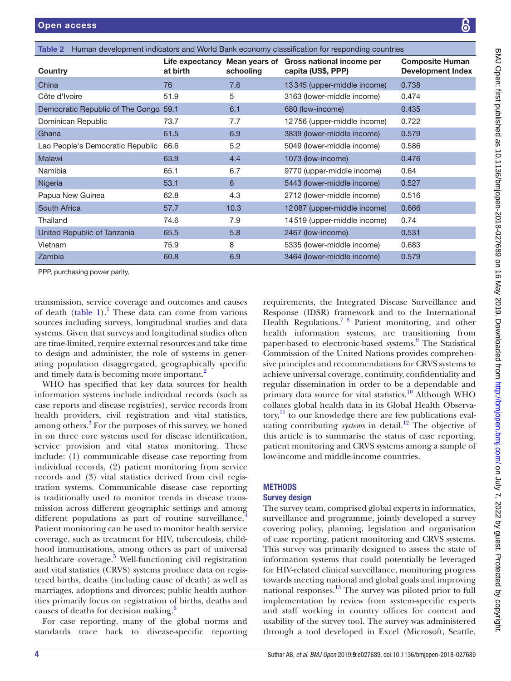| !<br>;<br>;                                                                                                                                                                                                                     |
|---------------------------------------------------------------------------------------------------------------------------------------------------------------------------------------------------------------------------------|
|                                                                                                                                                                                                                                 |
|                                                                                                                                                                                                                                 |
|                                                                                                                                                                                                                                 |
|                                                                                                                                                                                                                                 |
|                                                                                                                                                                                                                                 |
|                                                                                                                                                                                                                                 |
|                                                                                                                                                                                                                                 |
| $\vdots$                                                                                                                                                                                                                        |
|                                                                                                                                                                                                                                 |
|                                                                                                                                                                                                                                 |
|                                                                                                                                                                                                                                 |
|                                                                                                                                                                                                                                 |
|                                                                                                                                                                                                                                 |
|                                                                                                                                                                                                                                 |
|                                                                                                                                                                                                                                 |
| , 12 cm 12 cm 12 cm 12 cm 12 cm 12 cm 1                                                                                                                                                                                         |
|                                                                                                                                                                                                                                 |
|                                                                                                                                                                                                                                 |
| ׇ֚֬֡                                                                                                                                                                                                                            |
|                                                                                                                                                                                                                                 |
|                                                                                                                                                                                                                                 |
|                                                                                                                                                                                                                                 |
|                                                                                                                                                                                                                                 |
|                                                                                                                                                                                                                                 |
|                                                                                                                                                                                                                                 |
|                                                                                                                                                                                                                                 |
|                                                                                                                                                                                                                                 |
|                                                                                                                                                                                                                                 |
| :<br>:<br>:<br>אמו בין די בטי גדי פיר ואו א                                                                                                                                                                                     |
|                                                                                                                                                                                                                                 |
|                                                                                                                                                                                                                                 |
|                                                                                                                                                                                                                                 |
|                                                                                                                                                                                                                                 |
| .<br>י                                                                                                                                                                                                                          |
|                                                                                                                                                                                                                                 |
| $\frac{5}{2}$                                                                                                                                                                                                                   |
|                                                                                                                                                                                                                                 |
|                                                                                                                                                                                                                                 |
|                                                                                                                                                                                                                                 |
|                                                                                                                                                                                                                                 |
|                                                                                                                                                                                                                                 |
|                                                                                                                                                                                                                                 |
|                                                                                                                                                                                                                                 |
|                                                                                                                                                                                                                                 |
|                                                                                                                                                                                                                                 |
| ミーリン・リン                                                                                                                                                                                                                         |
|                                                                                                                                                                                                                                 |
|                                                                                                                                                                                                                                 |
|                                                                                                                                                                                                                                 |
|                                                                                                                                                                                                                                 |
|                                                                                                                                                                                                                                 |
| J                                                                                                                                                                                                                               |
|                                                                                                                                                                                                                                 |
|                                                                                                                                                                                                                                 |
|                                                                                                                                                                                                                                 |
|                                                                                                                                                                                                                                 |
| $\overline{a}$                                                                                                                                                                                                                  |
|                                                                                                                                                                                                                                 |
|                                                                                                                                                                                                                                 |
|                                                                                                                                                                                                                                 |
|                                                                                                                                                                                                                                 |
|                                                                                                                                                                                                                                 |
|                                                                                                                                                                                                                                 |
|                                                                                                                                                                                                                                 |
|                                                                                                                                                                                                                                 |
|                                                                                                                                                                                                                                 |
|                                                                                                                                                                                                                                 |
|                                                                                                                                                                                                                                 |
|                                                                                                                                                                                                                                 |
|                                                                                                                                                                                                                                 |
|                                                                                                                                                                                                                                 |
| יינו היהודי היהודי היהודי היהודי היהודי היהודי היהודי היהודי היהודי היהודי היהודי היהודי היהודי היהודי היהודי<br>קוד היהודי היהודי היהודי היהודי היהודי היהודי היהודי היהודי היהודי היהודי היהודי היהודי היהודי היהודי היהודי ה |
| adoluu<br>í                                                                                                                                                                                                                     |
|                                                                                                                                                                                                                                 |
|                                                                                                                                                                                                                                 |
|                                                                                                                                                                                                                                 |
|                                                                                                                                                                                                                                 |
|                                                                                                                                                                                                                                 |
|                                                                                                                                                                                                                                 |
|                                                                                                                                                                                                                                 |
|                                                                                                                                                                                                                                 |
|                                                                                                                                                                                                                                 |
|                                                                                                                                                                                                                                 |
|                                                                                                                                                                                                                                 |
|                                                                                                                                                                                                                                 |
|                                                                                                                                                                                                                                 |
| l                                                                                                                                                                                                                               |
|                                                                                                                                                                                                                                 |
|                                                                                                                                                                                                                                 |
|                                                                                                                                                                                                                                 |
|                                                                                                                                                                                                                                 |
|                                                                                                                                                                                                                                 |
|                                                                                                                                                                                                                                 |
|                                                                                                                                                                                                                                 |
|                                                                                                                                                                                                                                 |
|                                                                                                                                                                                                                                 |
|                                                                                                                                                                                                                                 |
|                                                                                                                                                                                                                                 |
| ׇ֠                                                                                                                                                                                                                              |
|                                                                                                                                                                                                                                 |
|                                                                                                                                                                                                                                 |
|                                                                                                                                                                                                                                 |
|                                                                                                                                                                                                                                 |
|                                                                                                                                                                                                                                 |
|                                                                                                                                                                                                                                 |
|                                                                                                                                                                                                                                 |
|                                                                                                                                                                                                                                 |
|                                                                                                                                                                                                                                 |
|                                                                                                                                                                                                                                 |
|                                                                                                                                                                                                                                 |
|                                                                                                                                                                                                                                 |
| ۱                                                                                                                                                                                                                               |

<span id="page-3-0"></span>

| Human development indicators and World Bank economy classification for responding countries<br>Table 2 |          |           |                                                                               |                                                    |
|--------------------------------------------------------------------------------------------------------|----------|-----------|-------------------------------------------------------------------------------|----------------------------------------------------|
| Country                                                                                                | at birth | schooling | Life expectancy Mean years of Gross national income per<br>capita (US\$, PPP) | <b>Composite Human</b><br><b>Development Index</b> |
| China                                                                                                  | 76       | 7.6       | 13345 (upper-middle income)                                                   | 0.738                                              |
| Côte d'Ivoire                                                                                          | 51.9     | 5         | 3163 (lower-middle income)                                                    | 0.474                                              |
| Democratic Republic of The Congo 59.1                                                                  |          | 6.1       | 680 (low-income)                                                              | 0.435                                              |
| Dominican Republic                                                                                     | 73.7     | 7.7       | 12756 (upper-middle income)                                                   | 0.722                                              |
| Ghana                                                                                                  | 61.5     | 6.9       | 3839 (lower-middle income)                                                    | 0.579                                              |
| Lao People's Democratic Republic                                                                       | 66.6     | 5.2       | 5049 (lower-middle income)                                                    | 0.586                                              |
| <b>Malawi</b>                                                                                          | 63.9     | 4.4       | 1073 (low-income)                                                             | 0.476                                              |
| Namibia                                                                                                | 65.1     | 6.7       | 9770 (upper-middle income)                                                    | 0.64                                               |
| Nigeria                                                                                                | 53.1     | 6         | 5443 (lower-middle income)                                                    | 0.527                                              |
| Papua New Guinea                                                                                       | 62.8     | 4.3       | 2712 (lower-middle income)                                                    | 0.516                                              |
| South Africa                                                                                           | 57.7     | 10.3      | 12087 (upper-middle income)                                                   | 0.666                                              |
| Thailand                                                                                               | 74.6     | 7.9       | 14519 (upper-middle income)                                                   | 0.74                                               |
| United Republic of Tanzania                                                                            | 65.5     | 5.8       | 2467 (low-income)                                                             | 0.531                                              |
| Vietnam                                                                                                | 75.9     | 8         | 5335 (lower-middle income)                                                    | 0.683                                              |
| Zambia                                                                                                 | 60.8     | 6.9       | 3464 (lower-middle income)                                                    | 0.579                                              |
|                                                                                                        |          |           |                                                                               |                                                    |

PPP, purchasing power parity.

transmission, service coverage and outcomes and causes of death ([table](#page-1-0)  $1$ ).<sup>1</sup> These data can come from various sources including surveys, longitudinal studies and data systems. Given that surveys and longitudinal studies often are time-limited, require external resources and take time to design and administer, the role of systems in generating population disaggregated, geographically specific and timely data is becoming more important.<sup>2</sup>

WHO has specified that key data sources for health information systems include individual records (such as case reports and disease registries), service records from health providers, civil registration and vital statistics, among others.<sup>3</sup> For the purposes of this survey, we honed in on three core systems used for disease identification, service provision and vital status monitoring. These include: (1) communicable disease case reporting from individual records, (2) patient monitoring from service records and (3) vital statistics derived from civil registration systems. Communicable disease case reporting is traditionally used to monitor trends in disease transmission across different geographic settings and among different populations as part of routine surveillance. $\dot{4}$  $\dot{4}$  $\dot{4}$ Patient monitoring can be used to monitor health service coverage, such as treatment for HIV, tuberculosis, childhood immunisations, among others as part of universal healthcare coverage.<sup>5</sup> Well-functioning civil registration and vital statistics (CRVS) systems produce data on registered births, deaths (including cause of death) as well as marriages, adoptions and divorces; public health authorities primarily focus on registration of births, deaths and causes of deaths for decision making.<sup>6</sup>

For case reporting, many of the global norms and standards trace back to disease-specific reporting requirements, the Integrated Disease Surveillance and Response (IDSR) framework and to the International Health Regulations.<sup>78</sup> Patient monitoring, and other health information systems, are transitioning from paper-based to electronic-based systems.<sup>[9](#page-13-6)</sup> The Statistical Commission of the United Nations provides comprehensive principles and recommendations for CRVS systems to achieve universal coverage, continuity, confidentiality and regular dissemination in order to be a dependable and primary data source for vital statistics.<sup>10</sup> Although WHO collates global health data in its Global Health Observa- $\text{tory}$ <sup>11</sup> to our knowledge there are few publications evaluating contributing *systems* in detail.<sup>12</sup> The objective of this article is to summarise the status of case reporting, patient monitoring and CRVS systems among a sample of low-income and middle-income countries.

# **METHODS**

## Survey design

The survey team, comprised global experts in informatics, surveillance and programme, jointly developed a survey covering policy, planning, legislation and organisation of case reporting, patient monitoring and CRVS systems. This survey was primarily designed to assess the state of information systems that could potentially be leveraged for HIV-related clinical surveillance, monitoring progress towards meeting national and global goals and improving national responses.[13](#page-13-10) The survey was piloted prior to full implementation by review from system-specific experts and staff working in country offices for content and usability of the survey tool. The survey was administered through a tool developed in Excel (Microsoft, Seattle,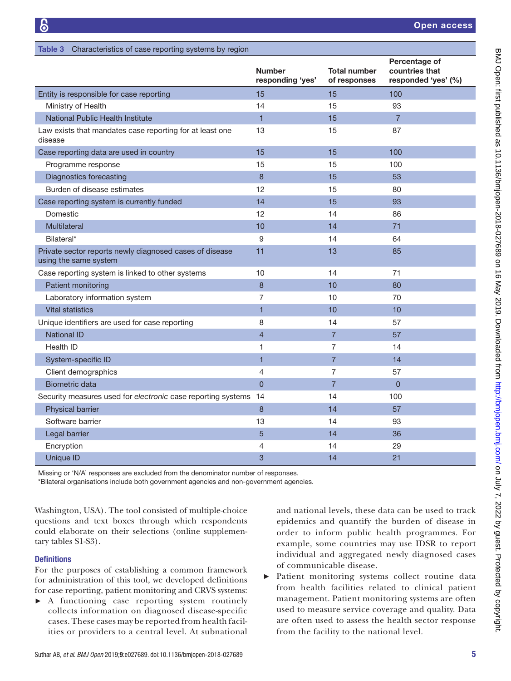|                                                                                  | <b>Number</b><br>responding 'yes' | <b>Total number</b><br>of responses | Percentage of<br>countries that<br>responded 'yes' (%) |
|----------------------------------------------------------------------------------|-----------------------------------|-------------------------------------|--------------------------------------------------------|
| Entity is responsible for case reporting                                         | 15                                | 15                                  | 100                                                    |
| Ministry of Health                                                               | 14                                | 15                                  | 93                                                     |
| National Public Health Institute                                                 | $\mathbf{1}$                      | 15                                  | $\overline{7}$                                         |
| Law exists that mandates case reporting for at least one<br>disease              | 13                                | 15                                  | 87                                                     |
| Case reporting data are used in country                                          | 15                                | 15                                  | 100                                                    |
| Programme response                                                               | 15                                | 15                                  | 100                                                    |
| <b>Diagnostics forecasting</b>                                                   | 8                                 | 15                                  | 53                                                     |
| Burden of disease estimates                                                      | 12                                | 15                                  | 80                                                     |
| Case reporting system is currently funded                                        | 14                                | 15                                  | 93                                                     |
| Domestic                                                                         | 12                                | 14                                  | 86                                                     |
| Multilateral                                                                     | 10                                | 14                                  | 71                                                     |
| Bilateral*                                                                       | 9                                 | 14                                  | 64                                                     |
| Private sector reports newly diagnosed cases of disease<br>using the same system | 11                                | 13                                  | 85                                                     |
| Case reporting system is linked to other systems                                 | 10                                | 14                                  | 71                                                     |
| Patient monitoring                                                               | 8                                 | 10                                  | 80                                                     |
| Laboratory information system                                                    | $\overline{7}$                    | 10                                  | 70                                                     |
| <b>Vital statistics</b>                                                          | $\mathbf{1}$                      | 10                                  | 10                                                     |
| Unique identifiers are used for case reporting                                   | 8                                 | 14                                  | 57                                                     |
| <b>National ID</b>                                                               | $\overline{4}$                    | $\overline{7}$                      | 57                                                     |
| <b>Health ID</b>                                                                 | 1                                 | $\overline{7}$                      | 14                                                     |
| System-specific ID                                                               | $\mathbf{1}$                      | $\overline{7}$                      | 14                                                     |
| Client demographics                                                              | 4                                 | 7                                   | 57                                                     |
| <b>Biometric data</b>                                                            | $\overline{0}$                    | $\overline{7}$                      | $\Omega$                                               |
| Security measures used for electronic case reporting systems 14                  |                                   | 14                                  | 100                                                    |
| Physical barrier                                                                 | 8                                 | 14                                  | 57                                                     |
| Software barrier                                                                 | 13                                | 14                                  | 93                                                     |
| Legal barrier                                                                    | 5                                 | 14                                  | 36                                                     |
| Encryption                                                                       | 4                                 | 14                                  | 29                                                     |
| <b>Unique ID</b>                                                                 | 3                                 | 14                                  | 21                                                     |

Missing or 'N/A' responses are excluded from the denominator number of responses.

\*Bilateral organisations include both government agencies and non-government agencies.

Washington, USA). The tool consisted of multiple-choice questions and text boxes through which respondents could elaborate on their selections (online [supplemen](https://dx.doi.org/10.1136/bmjopen-2018-027689)[tary tables S1-S3](https://dx.doi.org/10.1136/bmjopen-2018-027689)).

<span id="page-4-0"></span>Table 3 Characteristics of case reporting systems by region

## **Definitions**

For the purposes of establishing a common framework for administration of this tool, we developed definitions for case reporting, patient monitoring and CRVS systems:

► A functioning case reporting system routinely collects information on diagnosed disease-specific cases. These cases may be reported from health facilities or providers to a central level. At subnational and national levels, these data can be used to track epidemics and quantify the burden of disease in order to inform public health programmes. For example, some countries may use IDSR to report individual and aggregated newly diagnosed cases of communicable disease.

► Patient monitoring systems collect routine data from health facilities related to clinical patient management. Patient monitoring systems are often used to measure service coverage and quality. Data are often used to assess the health sector response from the facility to the national level.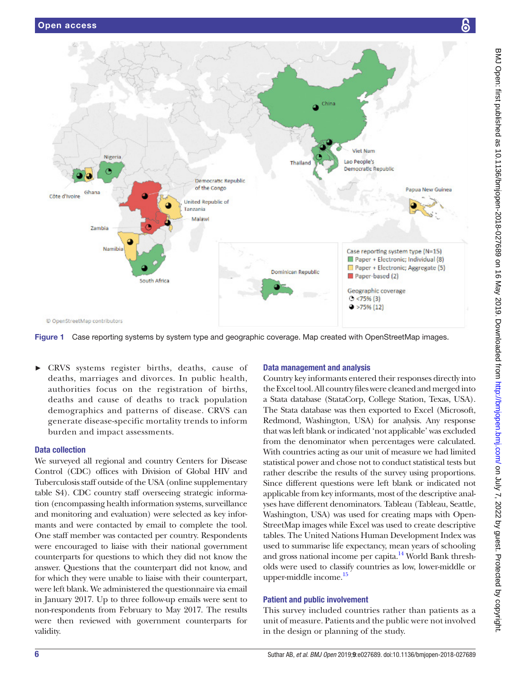

<span id="page-5-0"></span>Figure 1 Case reporting systems by system type and geographic coverage. Map created with OpenStreetMap images.

► CRVS systems register births, deaths, cause of deaths, marriages and divorces. In public health, authorities focus on the registration of births, deaths and cause of deaths to track population demographics and patterns of disease. CRVS can generate disease-specific mortality trends to inform burden and impact assessments.

## Data collection

We surveyed all regional and country Centers for Disease Control (CDC) offices with Division of Global HIV and Tuberculosis staff outside of the USA (online [supplementary](https://dx.doi.org/10.1136/bmjopen-2018-027689) [table S4\)](https://dx.doi.org/10.1136/bmjopen-2018-027689). CDC country staff overseeing strategic information (encompassing health information systems, surveillance and monitoring and evaluation) were selected as key informants and were contacted by email to complete the tool. One staff member was contacted per country. Respondents were encouraged to liaise with their national government counterparts for questions to which they did not know the answer. Questions that the counterpart did not know, and for which they were unable to liaise with their counterpart, were left blank. We administered the questionnaire via email in January 2017. Up to three follow-up emails were sent to non-respondents from February to May 2017. The results were then reviewed with government counterparts for validity.

# Data management and analysis

Country key informants entered their responses directly into the Excel tool. All country files were cleaned and merged into a Stata database (StataCorp, College Station, Texas, USA). The Stata database was then exported to Excel (Microsoft, Redmond, Washington, USA) for analysis. Any response that was left blank or indicated 'not applicable' was excluded from the denominator when percentages were calculated. With countries acting as our unit of measure we had limited statistical power and chose not to conduct statistical tests but rather describe the results of the survey using proportions. Since different questions were left blank or indicated not applicable from key informants, most of the descriptive analyses have different denominators. Tableau (Tableau, Seattle, Washington, USA) was used for creating maps with Open-StreetMap images while Excel was used to create descriptive tables. The United Nations Human Development Index was used to summarise life expectancy, mean years of schooling and gross national income per capita.<sup>14</sup> World Bank thresholds were used to classify countries as low, lower-middle or upper-middle income.<sup>15</sup>

# Patient and public involvement

This survey included countries rather than patients as a unit of measure. Patients and the public were not involved in the design or planning of the study.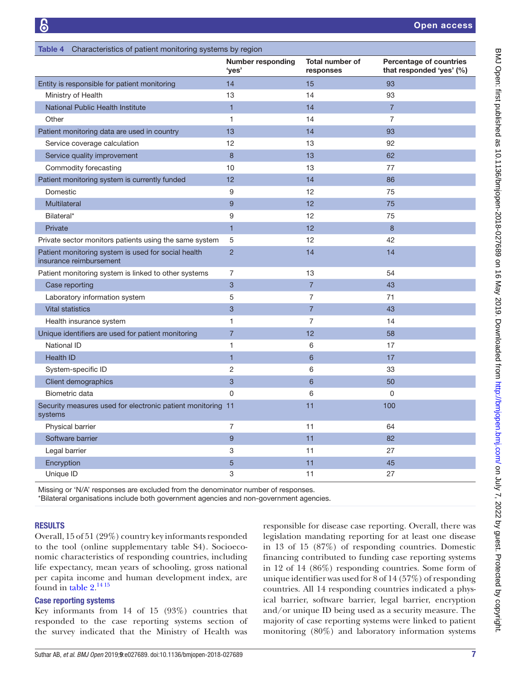<span id="page-6-0"></span>

| Table 4 Characteristics of patient monitoring systems by region                |                                   |                                     |                                                     |  |
|--------------------------------------------------------------------------------|-----------------------------------|-------------------------------------|-----------------------------------------------------|--|
|                                                                                | <b>Number responding</b><br>'yes' | <b>Total number of</b><br>responses | Percentage of countries<br>that responded 'yes' (%) |  |
| Entity is responsible for patient monitoring                                   | 14                                | 15                                  | 93                                                  |  |
| Ministry of Health                                                             | 13                                | 14                                  | 93                                                  |  |
| National Public Health Institute                                               | $\mathbf{1}$                      | 14                                  | $\overline{7}$                                      |  |
| Other                                                                          | $\mathbf{1}$                      | 14                                  | $\overline{7}$                                      |  |
| Patient monitoring data are used in country                                    | 13                                | 14                                  | 93                                                  |  |
| Service coverage calculation                                                   | 12                                | 13                                  | 92                                                  |  |
| Service quality improvement                                                    | 8                                 | 13                                  | 62                                                  |  |
| Commodity forecasting                                                          | 10                                | 13                                  | 77                                                  |  |
| Patient monitoring system is currently funded                                  | 12                                | 14                                  | 86                                                  |  |
| Domestic                                                                       | 9                                 | 12                                  | 75                                                  |  |
| <b>Multilateral</b>                                                            | 9                                 | 12                                  | 75                                                  |  |
| Bilateral*                                                                     | 9                                 | 12                                  | 75                                                  |  |
| Private                                                                        | $\overline{1}$                    | 12                                  | 8                                                   |  |
| Private sector monitors patients using the same system                         | 5                                 | 12                                  | 42                                                  |  |
| Patient monitoring system is used for social health<br>insurance reimbursement | $\overline{2}$                    | 14                                  | 14                                                  |  |
| Patient monitoring system is linked to other systems                           | $\overline{7}$                    | 13                                  | 54                                                  |  |
| Case reporting                                                                 | 3                                 | $\overline{7}$                      | 43                                                  |  |
| Laboratory information system                                                  | 5                                 | $\overline{7}$                      | 71                                                  |  |
| <b>Vital statistics</b>                                                        | 3                                 | $\overline{7}$                      | 43                                                  |  |
| Health insurance system                                                        | $\mathbf{1}$                      | $\overline{7}$                      | 14                                                  |  |
| Unique identifiers are used for patient monitoring                             | $\overline{7}$                    | 12                                  | 58                                                  |  |
| National ID                                                                    | $\mathbf{1}$                      | 6                                   | 17                                                  |  |
| <b>Health ID</b>                                                               | $\overline{1}$                    | $6\overline{6}$                     | 17                                                  |  |
| System-specific ID                                                             | $\overline{2}$                    | 6                                   | 33                                                  |  |
| Client demographics                                                            | 3                                 | $6\overline{6}$                     | 50                                                  |  |
| Biometric data                                                                 | $\mathbf 0$                       | 6                                   | 0                                                   |  |
| Security measures used for electronic patient monitoring 11<br>systems         |                                   | 11                                  | 100                                                 |  |
| <b>Physical barrier</b>                                                        | $\overline{7}$                    | 11                                  | 64                                                  |  |
| Software barrier                                                               | 9                                 | 11                                  | 82                                                  |  |
| Legal barrier                                                                  | 3                                 | 11                                  | 27                                                  |  |
| Encryption                                                                     | 5                                 | 11                                  | 45                                                  |  |
| Unique ID                                                                      | 3                                 | 11                                  | 27                                                  |  |

Missing or 'N/A' responses are excluded from the denominator number of responses.

\*Bilateral organisations include both government agencies and non-government agencies.

### **RESULTS**

Overall, 15 of 51 (29%) country key informants responded to the tool (online [supplementary table S4\)](https://dx.doi.org/10.1136/bmjopen-2018-027689). Socioeconomic characteristics of responding countries, including life expectancy, mean years of schooling, gross national per capita income and human development index, are found in [table](#page-3-0)  $2^{14}$ <sup>15</sup>

## Case reporting systems

Key informants from 14 of 15 (93%) countries that responded to the case reporting systems section of the survey indicated that the Ministry of Health was

responsible for disease case reporting. Overall, there was legislation mandating reporting for at least one disease in 13 of 15 (87%) of responding countries. Domestic financing contributed to funding case reporting systems in 12 of 14 (86%) responding countries. Some form of unique identifier was used for 8 of 14 (57%) of responding countries. All 14 responding countries indicated a physical barrier, software barrier, legal barrier, encryption and/or unique ID being used as a security measure. The majority of case reporting systems were linked to patient monitoring (80%) and laboratory information systems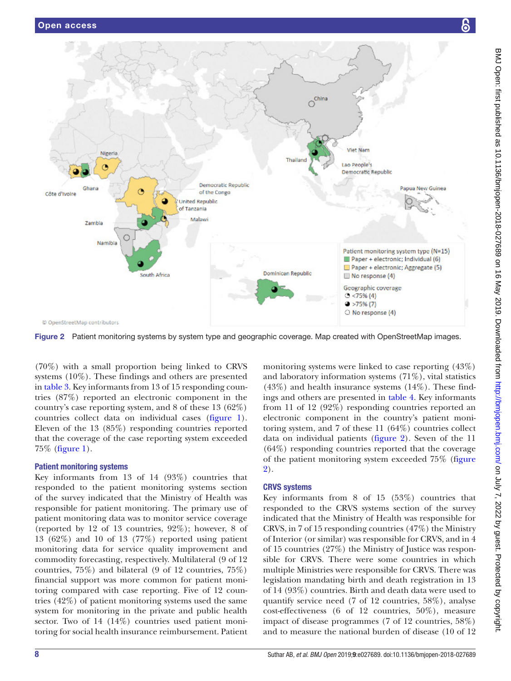

<span id="page-7-0"></span>Figure 2 Patient monitoring systems by system type and geographic coverage. Map created with OpenStreetMap images.

(70%) with a small proportion being linked to CRVS systems (10%). These findings and others are presented in [table](#page-4-0) 3. Key informants from 13 of 15 responding countries (87%) reported an electronic component in the country's case reporting system, and 8 of these 13 (62%) countries collect data on individual cases [\(figure](#page-5-0) 1). Eleven of the 13 (85%) responding countries reported that the coverage of the case reporting system exceeded 75% ([figure](#page-5-0) 1).

# Patient monitoring systems

Key informants from 13 of 14 (93%) countries that responded to the patient monitoring systems section of the survey indicated that the Ministry of Health was responsible for patient monitoring. The primary use of patient monitoring data was to monitor service coverage (reported by 12 of 13 countries, 92%); however, 8 of 13 (62%) and 10 of 13 (77%) reported using patient monitoring data for service quality improvement and commodity forecasting, respectively. Multilateral (9 of 12 countries, 75%) and bilateral (9 of 12 countries, 75%) financial support was more common for patient monitoring compared with case reporting. Five of 12 countries (42%) of patient monitoring systems used the same system for monitoring in the private and public health sector. Two of 14 (14%) countries used patient monitoring for social health insurance reimbursement. Patient

monitoring systems were linked to case reporting (43%) and laboratory information systems (71%), vital statistics  $(43%)$  and health insurance systems  $(14%)$ . These findings and others are presented in [table](#page-6-0) 4. Key informants from 11 of 12 (92%) responding countries reported an electronic component in the country's patient monitoring system, and 7 of these 11 (64%) countries collect data on individual patients ([figure](#page-7-0) 2). Seven of the 11 (64%) responding countries reported that the coverage of the patient monitoring system exceeded 75% (f[igure](#page-7-0)  [2](#page-7-0)).

# CRVS systems

Key informants from 8 of 15 (53%) countries that responded to the CRVS systems section of the survey indicated that the Ministry of Health was responsible for CRVS, in 7 of 15 responding countries (47%) the Ministry of Interior (or similar) was responsible for CRVS, and in 4 of 15 countries (27%) the Ministry of Justice was responsible for CRVS. There were some countries in which multiple Ministries were responsible for CRVS. There was legislation mandating birth and death registration in 13 of 14 (93%) countries. Birth and death data were used to quantify service need (7 of 12 countries, 58%), analyse cost-effectiveness (6 of 12 countries, 50%), measure impact of disease programmes (7 of 12 countries, 58%) and to measure the national burden of disease (10 of 12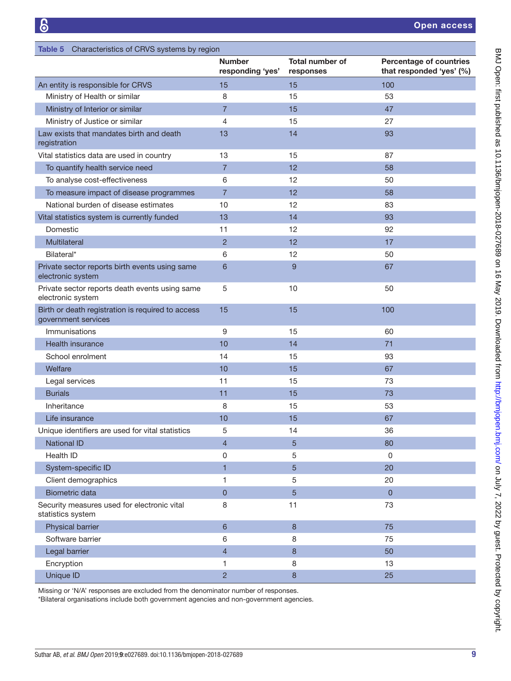<span id="page-8-0"></span>

| Table 5 Characteristics of CRVS systems by region                        |                                   |                                     |                                                            |
|--------------------------------------------------------------------------|-----------------------------------|-------------------------------------|------------------------------------------------------------|
|                                                                          | <b>Number</b><br>responding 'yes' | <b>Total number of</b><br>responses | <b>Percentage of countries</b><br>that responded 'yes' (%) |
| An entity is responsible for CRVS                                        | 15                                | 15                                  | 100                                                        |
| Ministry of Health or similar                                            | 8                                 | 15                                  | 53                                                         |
| Ministry of Interior or similar                                          | 7                                 | 15                                  | 47                                                         |
| Ministry of Justice or similar                                           | 4                                 | 15                                  | 27                                                         |
| Law exists that mandates birth and death<br>registration                 | 13                                | 14                                  | 93                                                         |
| Vital statistics data are used in country                                | 13                                | 15                                  | 87                                                         |
| To quantify health service need                                          | $\overline{7}$                    | 12                                  | 58                                                         |
| To analyse cost-effectiveness                                            | 6                                 | 12                                  | 50                                                         |
| To measure impact of disease programmes                                  | $\overline{7}$                    | 12                                  | 58                                                         |
| National burden of disease estimates                                     | 10                                | 12                                  | 83                                                         |
| Vital statistics system is currently funded                              | 13                                | 14                                  | 93                                                         |
| Domestic                                                                 | 11                                | 12                                  | 92                                                         |
| <b>Multilateral</b>                                                      | $\overline{2}$                    | 12                                  | 17                                                         |
| Bilateral*                                                               | 6                                 | 12                                  | 50                                                         |
| Private sector reports birth events using same<br>electronic system      | 6                                 | 9                                   | 67                                                         |
| Private sector reports death events using same<br>electronic system      | 5                                 | 10                                  | 50                                                         |
| Birth or death registration is required to access<br>government services | 15                                | 15                                  | 100                                                        |
| Immunisations                                                            | 9                                 | 15                                  | 60                                                         |
| Health insurance                                                         | 10                                | 14                                  | 71                                                         |
| School enrolment                                                         | 14                                | 15                                  | 93                                                         |
| Welfare                                                                  | 10                                | 15                                  | 67                                                         |
| Legal services                                                           | 11                                | 15                                  | 73                                                         |
| <b>Burials</b>                                                           | 11                                | 15                                  | 73                                                         |
| Inheritance                                                              | 8                                 | 15                                  | 53                                                         |
| Life insurance                                                           | 10                                | 15                                  | 67                                                         |
| Unique identifiers are used for vital statistics                         | 5                                 | 14                                  | 36                                                         |
| <b>National ID</b>                                                       | $\overline{\mathcal{L}}$          | 5                                   | 80                                                         |
| Health ID                                                                | 0                                 | 5                                   | $\mathbf 0$                                                |
| System-specific ID                                                       | $\overline{1}$                    | 5                                   | 20                                                         |
| Client demographics                                                      | 1                                 | 5                                   | 20                                                         |
| <b>Biometric data</b>                                                    | $\overline{0}$                    | 5                                   | $\overline{0}$                                             |
| Security measures used for electronic vital<br>statistics system         | 8                                 | 11                                  | 73                                                         |
| Physical barrier                                                         | 6                                 | 8                                   | 75                                                         |
| Software barrier                                                         | 6                                 | 8                                   | 75                                                         |
| Legal barrier                                                            | $\overline{\mathcal{L}}$          | $\bf 8$                             | 50                                                         |
| Encryption                                                               | 1                                 | 8                                   | 13                                                         |
| Unique ID                                                                | $\overline{2}$                    | $\bf8$                              | 25                                                         |

Missing or 'N/A' responses are excluded from the denominator number of responses.

\*Bilateral organisations include both government agencies and non-government agencies.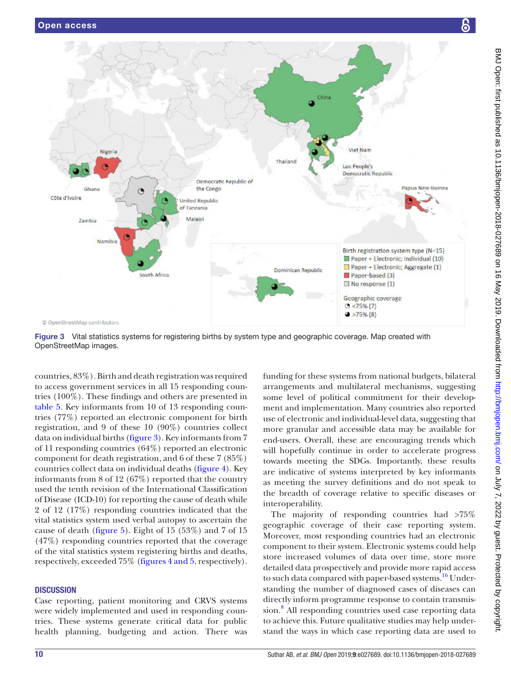

<span id="page-9-0"></span>Figure 3 Vital statistics systems for registering births by system type and geographic coverage. Map created with OpenStreetMap images.

countries, 83%). Birth and death registration was required to access government services in all 15 responding countries (100%). These findings and others are presented in [table](#page-8-0) 5. Key informants from 10 of 13 responding countries (77%) reported an electronic component for birth registration, and 9 of these 10 (90%) countries collect data on individual births [\(figure](#page-9-0) 3). Key informants from 7 of 11 responding countries (64%) reported an electronic component for death registration, and 6 of these 7 (85%) countries collect data on individual deaths ([figure](#page-10-0) 4). Key informants from 8 of 12 (67%) reported that the country used the tenth revision of the International Classification of Disease (ICD-10) for reporting the cause of death while 2 of 12 (17%) responding countries indicated that the vital statistics system used verbal autopsy to ascertain the cause of death [\(figure](#page-11-0) 5). Eight of 15 (53%) and 7 of 15 (47%) responding countries reported that the coverage of the vital statistics system registering births and deaths, respectively, exceeded 75% (figures [4 and 5,](#page-10-0) respectively).

## **DISCUSSION**

Case reporting, patient monitoring and CRVS systems were widely implemented and used in responding countries. These systems generate critical data for public health planning, budgeting and action. There was

funding for these systems from national budgets, bilateral arrangements and multilateral mechanisms, suggesting some level of political commitment for their development and implementation. Many countries also reported use of electronic and individual-level data, suggesting that more granular and accessible data may be available for end-users. Overall, these are encouraging trends which will hopefully continue in order to accelerate progress towards meeting the SDGs. Importantly, these results are indicative of systems interpreted by key informants as meeting the survey definitions and do not speak to the breadth of coverage relative to specific diseases or interoperability.

The majority of responding countries had >75% geographic coverage of their case reporting system. Moreover, most responding countries had an electronic component to their system. Electronic systems could help store increased volumes of data over time, store more detailed data prospectively and provide more rapid access to such data compared with paper-based systems.<sup>[16](#page-13-13)</sup> Understanding the number of diagnosed cases of diseases can directly inform programme response to contain transmis-sion.<sup>[8](#page-13-14)</sup> All responding countries used case reporting data to achieve this. Future qualitative studies may help understand the ways in which case reporting data are used to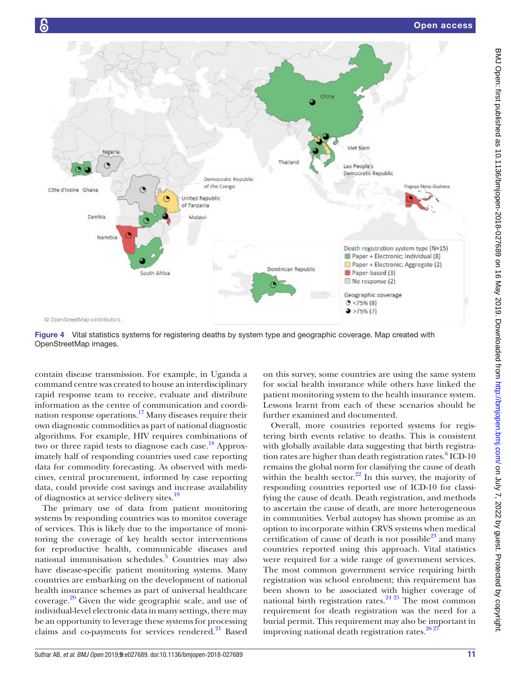

<span id="page-10-0"></span>Figure 4 Vital statistics systems for registering deaths by system type and geographic coverage. Map created with OpenStreetMap images.

contain disease transmission. For example, in Uganda a command centre was created to house an interdisciplinary rapid response team to receive, evaluate and distribute information as the centre of communication and coordination response operations.<sup>17</sup> Many diseases require their own diagnostic commodities as part of national diagnostic algorithms. For example, HIV requires combinations of two or three rapid tests to diagnose each case.<sup>18</sup> Approximately half of responding countries used case reporting data for commodity forecasting. As observed with medicines, central procurement, informed by case reporting data, could provide cost savings and increase availability of diagnostics at service delivery sites.[19](#page-13-17)

The primary use of data from patient monitoring systems by responding countries was to monitor coverage of services. This is likely due to the importance of monitoring the coverage of key health sector interventions for reproductive health, communicable diseases and national immunisation schedules.<sup>5</sup> Countries may also have disease-specific patient monitoring systems. Many countries are embarking on the development of national health insurance schemes as part of universal healthcare coverage. $20$  Given the wide geographic scale, and use of individual-level electronic data in many settings, there may be an opportunity to leverage these systems for processing claims and co-payments for services rendered. $^{21}$  Based

on this survey, some countries are using the same system for social health insurance while others have linked the patient monitoring system to the health insurance system. Lessons learnt from each of these scenarios should be further examined and documented.

Overall, more countries reported systems for registering birth events relative to deaths. This is consistent with globally available data suggesting that birth registra-tion rates are higher than death registration rates.<sup>[6](#page-13-4)</sup> ICD-10 remains the global norm for classifying the cause of death within the health sector. $22$  In this survey, the majority of responding countries reported use of ICD-10 for classifying the cause of death. Death registration, and methods to ascertain the cause of death, are more heterogeneous in communities. Verbal autopsy has shown promise as an option to incorporate within CRVS systems when medical certification of cause of death is not possible $^{23}$  and many countries reported using this approach. Vital statistics were required for a wide range of government services. The most common government service requiring birth registration was school enrolment; this requirement has been shown to be associated with higher coverage of national birth registration rates.<sup>24 25</sup> The most common requirement for death registration was the need for a burial permit. This requirement may also be important in improving national death registration rates.<sup>26 27</sup>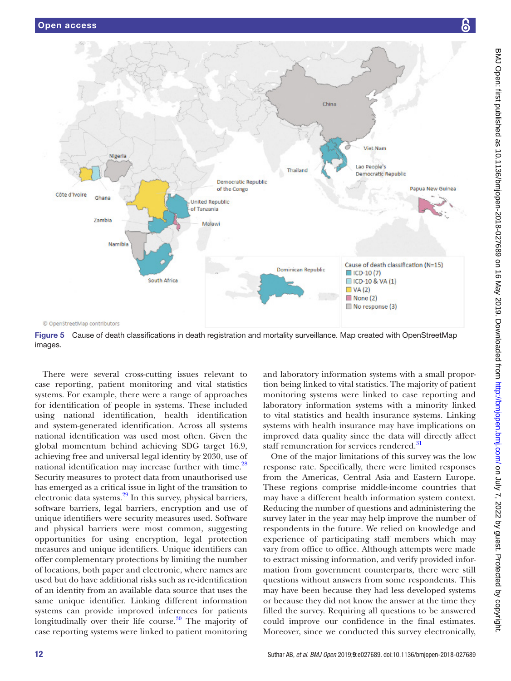

<span id="page-11-0"></span>Figure 5 Cause of death classifications in death registration and mortality surveillance. Map created with OpenStreetMap images.

There were several cross-cutting issues relevant to case reporting, patient monitoring and vital statistics systems. For example, there were a range of approaches for identification of people in systems. These included using national identification, health identification and system-generated identification. Across all systems national identification was used most often. Given the global momentum behind achieving SDG target 16.9, achieving free and universal legal identity by 2030, use of national identification may increase further with time.<sup>[28](#page-13-24)</sup> Security measures to protect data from unauthorised use has emerged as a critical issue in light of the transition to electronic data systems.<sup>29</sup> In this survey, physical barriers, software barriers, legal barriers, encryption and use of unique identifiers were security measures used. Software and physical barriers were most common, suggesting opportunities for using encryption, legal protection measures and unique identifiers. Unique identifiers can offer complementary protections by limiting the number of locations, both paper and electronic, where names are used but do have additional risks such as re-identification of an identity from an available data source that uses the same unique identifier. Linking different information systems can provide improved inferences for patients longitudinally over their life course.<sup>30</sup> The majority of case reporting systems were linked to patient monitoring

and laboratory information systems with a small proportion being linked to vital statistics. The majority of patient monitoring systems were linked to case reporting and laboratory information systems with a minority linked to vital statistics and health insurance systems. Linking systems with health insurance may have implications on improved data quality since the data will directly affect staff remuneration for services rendered.<sup>[31](#page-13-27)</sup>

One of the major limitations of this survey was the low response rate. Specifically, there were limited responses from the Americas, Central Asia and Eastern Europe. These regions comprise middle-income countries that may have a different health information system context. Reducing the number of questions and administering the survey later in the year may help improve the number of respondents in the future. We relied on knowledge and experience of participating staff members which may vary from office to office. Although attempts were made to extract missing information, and verify provided information from government counterparts, there were still questions without answers from some respondents. This may have been because they had less developed systems or because they did not know the answer at the time they filled the survey. Requiring all questions to be answered could improve our confidence in the final estimates. Moreover, since we conducted this survey electronically,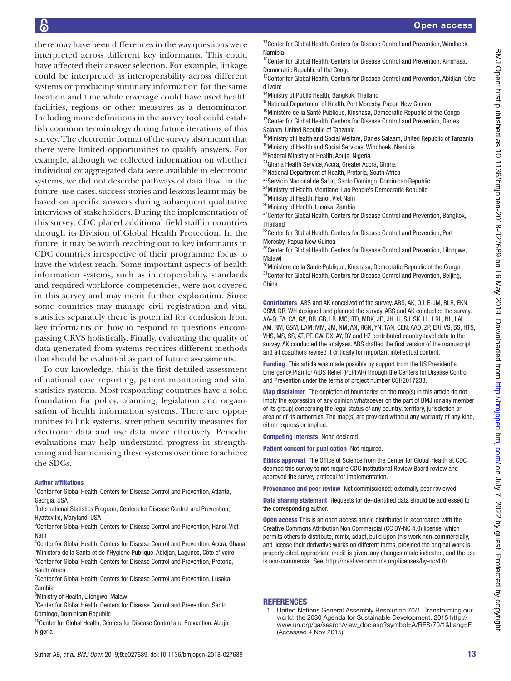there may have been differences in the way questions were interpreted across different key informants. This could have affected their answer selection. For example, linkage could be interpreted as interoperability across different systems or producing summary information for the same location and time while coverage could have used health facilities, regions or other measures as a denominator. Including more definitions in the survey tool could establish common terminology during future iterations of this survey. The electronic format of the survey also meant that there were limited opportunities to qualify answers. For example, although we collected information on whether individual or aggregated data were available in electronic systems, we did not describe pathways of data flow. In the future, use cases, success stories and lessons learnt may be based on specific answers during subsequent qualitative interviews of stakeholders. During the implementation of this survey, CDC placed additional field staff in countries through its Division of Global Health Protection. In the future, it may be worth reaching out to key informants in CDC countries irrespective of their programme focus to have the widest reach. Some important aspects of health information systems, such as interoperability, standards and required workforce competencies, were not covered in this survey and may merit further exploration. Since some countries may manage civil registration and vital statistics separately there is potential for confusion from key informants on how to respond to questions encompassing CRVS holistically. Finally, evaluating the quality of data generated from systems requires different methods that should be evaluated as part of future assessments.

To our knowledge, this is the first detailed assessment of national case reporting, patient monitoring and vital statistics systems. Most responding countries have a solid foundation for policy, planning, legislation and organisation of health information systems. There are opportunities to link systems, strengthen security measures for electronic data and use data more effectively. Periodic evaluations may help understand progress in strengthening and harmonising these systems over time to achieve the SDGs.

#### Author affiliations

<sup>1</sup> Center for Global Health, Centers for Disease Control and Prevention, Atlanta, Georgia, USA

<sup>2</sup>International Statistics Program, Centers for Disease Control and Prevention, Hyattsville, Maryland, USA

<sup>3</sup> Center for Global Health, Centers for Disease Control and Prevention, Hanoi, Viet Nam

4 Center for Global Health, Centers for Disease Control and Prevention, Accra, Ghana <sup>5</sup>Ministere de la Sante et de l'Hygiene Publique, Abidjan, Lagunes, Côte d'Ivoire <sup>6</sup>Center for Global Health, Centers for Disease Control and Prevention, Pretoria, South Africa

<sup>7</sup> Center for Global Health, Centers for Disease Control and Prevention, Lusaka, Zambia

<sup>8</sup>Ministry of Health, Lilongwe, Malawi

<sup>9</sup> Center for Global Health, Centers for Disease Control and Prevention, Santo Domingo, Dominican Republic

<sup>10</sup>Center for Global Health, Centers for Disease Control and Prevention, Abuja, Nigeria

<sup>11</sup> Center for Global Health, Centers for Disease Control and Prevention, Windhoek, Namibia

 $12$ Center for Global Health, Centers for Disease Control and Prevention, Kinshasa, Democratic Republic of the Congo

<sup>13</sup>Center for Global Health, Centers for Disease Control and Prevention, Abidjan, Côte d'Ivoire

<sup>14</sup>Ministry of Public Health, Bangkok, Thailand

<sup>15</sup>National Department of Health, Port Moresby, Papua New Guinea

 $16$ Ministère de la Santé Publique, Kinshasa, Democratic Republic of the Congo <sup>17</sup>Center for Global Health, Centers for Disease Control and Prevention, Dar es Salaam, United Republic of Tanzania

<sup>18</sup>Ministry of Health and Social Welfare, Dar es Salaam, United Republic of Tanzania <sup>19</sup>Ministry of Health and Social Services, Windhoek, Namibia

<sup>20</sup>Federal Ministry of Health, Abuja, Nigeria

<sup>21</sup>Ghana Health Service, Accra, Greater Accra, Ghana

22National Department of Health, Pretoria, South Africa

<sup>23</sup>Servicio Nacional de Salud, Santo Domingo, Dominican Republic

<sup>24</sup>Ministry of Health, Vientiane, Lao People's Democratic Republic

25Ministry of Health, Hanoi, Viet Nam

26Ministry of Health, Lusaka, Zambia

<sup>27</sup>Center for Global Health, Centers for Disease Control and Prevention, Bangkok, Thailand

<sup>28</sup>Center for Global Health, Centers for Disease Control and Prevention, Port Moresby, Papua New Guinea

<sup>29</sup>Center for Global Health, Centers for Disease Control and Prevention, Lilongwe, Malawi

<sup>30</sup>Ministere de la Sante Publique, Kinshasa, Democratic Republic of the Congo  $^{31}$ Center for Global Health, Centers for Disease Control and Prevention, Beijing, China

Contributors ABS and AK conceived of the survey. ABS, AK, OJ, E-JM, RLR, EKN, CSM, DR, WH designed and planned the survey. ABS and AK conducted the survey. AA-Q, FA, CA, GA, DB, GB, LB, MC, ITD, MDK, JD, JH, IJ, SJ, SK, LL, LRL, NL, LéL, AM, RM, GSM, LAM, MM, JM, NM, AN, RGN, YN, TAN, CEN, AAO, ZP, ERí, VS, BS, HTS, VHS, MS, SS, AT, PT, CW, DX, AY, DY and HZ contributed country-level data to the survey. AK conducted the analyses. ABS drafted the first version of the manuscript and all coauthors revised it critically for important intellectual content.

Funding This article was made possible by support from the US President's Emergency Plan for AIDS Relief (PEPFAR) through the Centers for Disease Control and Prevention under the terms of project number CGH2017233.

Map disclaimer The depiction of boundaries on the map(s) in this article do not imply the expression of any opinion whatsoever on the part of BMJ (or any member of its group) concerning the legal status of any country, territory, jurisdiction or area or of its authorities. The map(s) are provided without any warranty of any kind, either express or implied.

Competing interests None declared

Patient consent for publication Not required.

Ethics approval The Office of Science from the Center for Global Health at CDC deemed this survey to not require CDC Institutional Review Board review and approved the survey protocol for implementation.

Provenance and peer review Not commissioned; externally peer reviewed.

Data sharing statement Requests for de-identified data should be addressed to the corresponding author.

Open access This is an open access article distributed in accordance with the Creative Commons Attribution Non Commercial (CC BY-NC 4.0) license, which permits others to distribute, remix, adapt, build upon this work non-commercially, and license their derivative works on different terms, provided the original work is properly cited, appropriate credit is given, any changes made indicated, and the use is non-commercial. See: [http://creativecommons.org/licenses/by-nc/4.0/.](http://creativecommons.org/licenses/by-nc/4.0/)

#### **REFERENCES**

<span id="page-12-0"></span><sup>1.</sup> United Nations General Assembly Resolution 70/1. Transforming our world: the 2030 Agenda for Sustainable Development. 2015 [http://](http://www.un.org/ga/search/view_doc.asp?symbol=A/RES/70/1&Lang=E) [www.un.org/ga/search/view\\_doc.asp?symbol=A/RES/70/1&Lang=E](http://www.un.org/ga/search/view_doc.asp?symbol=A/RES/70/1&Lang=E)  (Accessed 4 Nov 2015).